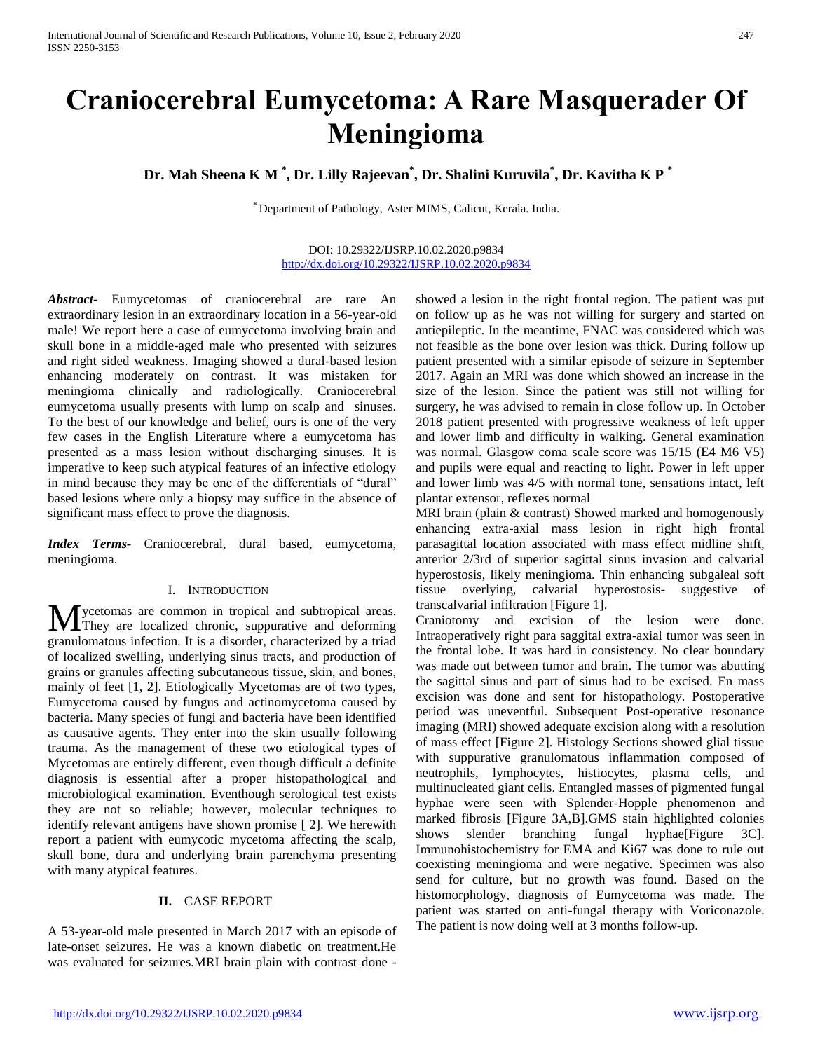# **Craniocerebral Eumycetoma: A Rare Masquerader Of Meningioma**

**Dr. Mah Sheena K M \* , Dr. Lilly Rajeevan\* , Dr. Shalini Kuruvila\* , Dr. Kavitha K P \***

\* Department of Pathology, Aster MIMS, Calicut, Kerala. India.

#### DOI: 10.29322/IJSRP.10.02.2020.p9834 <http://dx.doi.org/10.29322/IJSRP.10.02.2020.p9834>

*Abstract***-** Eumycetomas of craniocerebral are rare An extraordinary lesion in an extraordinary location in a 56-year-old male! We report here a case of eumycetoma involving brain and skull bone in a middle-aged male who presented with seizures and right sided weakness. Imaging showed a dural-based lesion enhancing moderately on contrast. It was mistaken for meningioma clinically and radiologically. Craniocerebral eumycetoma usually presents with lump on scalp and sinuses. To the best of our knowledge and belief, ours is one of the very few cases in the English Literature where a eumycetoma has presented as a mass lesion without discharging sinuses. It is imperative to keep such atypical features of an infective etiology in mind because they may be one of the differentials of "dural" based lesions where only a biopsy may suffice in the absence of significant mass effect to prove the diagnosis.

*Index Terms-* Craniocerebral, dural based, eumycetoma, meningioma.

# I. INTRODUCTION

**M** ycetomas are common in tropical and subtropical areas.<br>They are localized chronic, suppurative and deforming They are localized chronic, suppurative and deforming granulomatous infection. It is a disorder, characterized by a triad of localized swelling, underlying sinus tracts, and production of grains or granules affecting subcutaneous tissue, skin, and bones, mainly of feet [1, 2]. Etiologically Mycetomas are of two types, Eumycetoma caused by fungus and actinomycetoma caused by bacteria. Many species of fungi and bacteria have been identified as causative agents. They enter into the skin usually following trauma. As the management of these two etiological types of Mycetomas are entirely different, even though difficult a definite diagnosis is essential after a proper histopathological and microbiological examination. Eventhough serological test exists they are not so reliable; however, molecular techniques to identify relevant antigens have shown promise [ 2]. We herewith report a patient with eumycotic mycetoma affecting the scalp, skull bone, dura and underlying brain parenchyma presenting with many atypical features.

# **II.** CASE REPORT

A 53-year-old male presented in March 2017 with an episode of late-onset seizures. He was a known diabetic on treatment.He was evaluated for seizures.MRI brain plain with contrast done - showed a lesion in the right frontal region. The patient was put on follow up as he was not willing for surgery and started on antiepileptic. In the meantime, FNAC was considered which was not feasible as the bone over lesion was thick. During follow up patient presented with a similar episode of seizure in September 2017. Again an MRI was done which showed an increase in the size of the lesion. Since the patient was still not willing for surgery, he was advised to remain in close follow up. In October 2018 patient presented with progressive weakness of left upper and lower limb and difficulty in walking. General examination was normal. Glasgow coma scale score was 15/15 (E4 M6 V5) and pupils were equal and reacting to light. Power in left upper and lower limb was 4/5 with normal tone, sensations intact, left plantar extensor, reflexes normal

MRI brain (plain & contrast) Showed marked and homogenously enhancing extra-axial mass lesion in right high frontal parasagittal location associated with mass effect midline shift, anterior 2/3rd of superior sagittal sinus invasion and calvarial hyperostosis, likely meningioma. Thin enhancing subgaleal soft tissue overlying, calvarial hyperostosis- suggestive of transcalvarial infiltration [Figure 1].

Craniotomy and excision of the lesion were done. Intraoperatively right para saggital extra-axial tumor was seen in the frontal lobe. It was hard in consistency. No clear boundary was made out between tumor and brain. The tumor was abutting the sagittal sinus and part of sinus had to be excised. En mass excision was done and sent for histopathology. Postoperative period was uneventful. Subsequent Post-operative resonance imaging (MRI) showed adequate excision along with a resolution of mass effect [Figure 2]. Histology Sections showed glial tissue with suppurative granulomatous inflammation composed of neutrophils, lymphocytes, histiocytes, plasma cells, and multinucleated giant cells. Entangled masses of pigmented fungal hyphae were seen with Splender-Hopple phenomenon and marked fibrosis [Figure 3A,B].GMS stain highlighted colonies shows slender branching fungal hyphae [Figure 3C]. Immunohistochemistry for EMA and Ki67 was done to rule out coexisting meningioma and were negative. Specimen was also send for culture, but no growth was found. Based on the histomorphology, diagnosis of Eumycetoma was made. The patient was started on anti-fungal therapy with Voriconazole. The patient is now doing well at 3 months follow-up.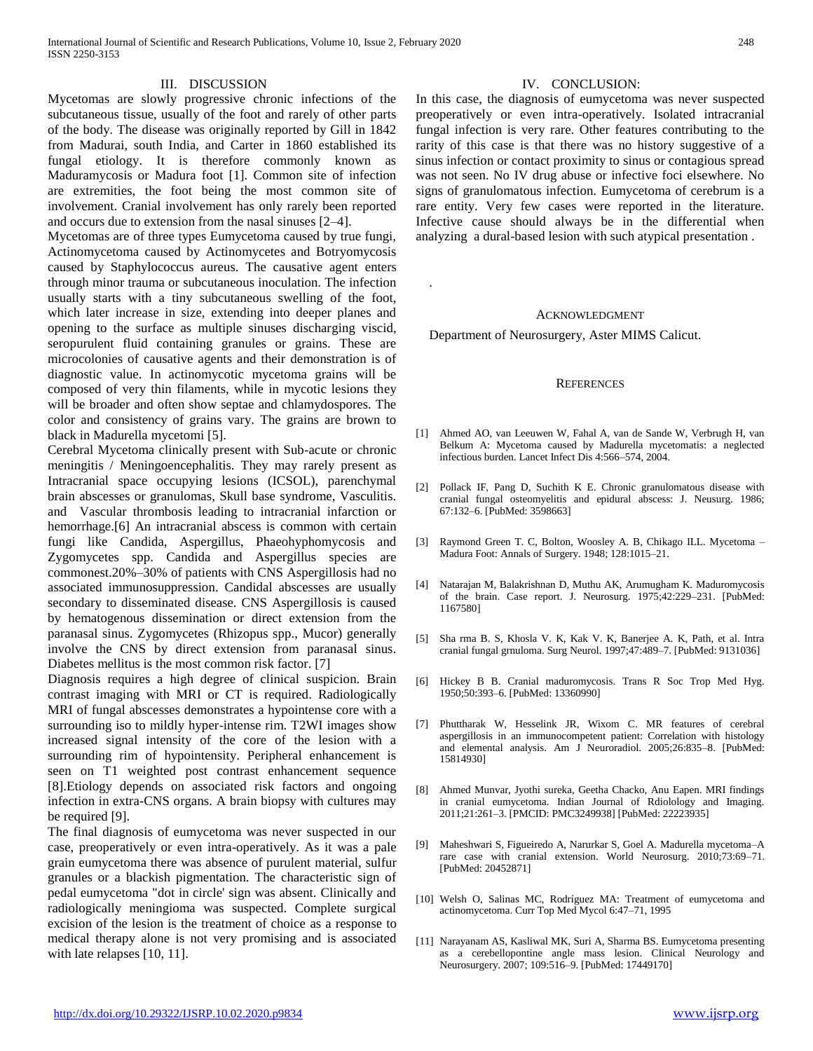#### III. DISCUSSION

Mycetomas are slowly progressive chronic infections of the subcutaneous tissue, usually of the foot and rarely of other parts of the body. The disease was originally reported by Gill in 1842 from Madurai, south India, and Carter in 1860 established its fungal etiology. It is therefore commonly known as Maduramycosis or Madura foot [1]. Common site of infection are extremities, the foot being the most common site of involvement. Cranial involvement has only rarely been reported and occurs due to extension from the nasal sinuses [2–4].

Mycetomas are of three types Eumycetoma caused by true fungi, Actinomycetoma caused by Actinomycetes and Botryomycosis caused by Staphylococcus aureus. The causative agent enters through minor trauma or subcutaneous inoculation. The infection usually starts with a tiny subcutaneous swelling of the foot, which later increase in size, extending into deeper planes and opening to the surface as multiple sinuses discharging viscid, seropurulent fluid containing granules or grains. These are microcolonies of causative agents and their demonstration is of diagnostic value. In actinomycotic mycetoma grains will be composed of very thin filaments, while in mycotic lesions they will be broader and often show septae and chlamydospores. The color and consistency of grains vary. The grains are brown to black in Madurella mycetomi [5].

Cerebral Mycetoma clinically present with Sub-acute or chronic meningitis / Meningoencephalitis. They may rarely present as Intracranial space occupying lesions (ICSOL), parenchymal brain abscesses or granulomas, Skull base syndrome, Vasculitis. and Vascular thrombosis leading to intracranial infarction or hemorrhage.<sup>[6]</sup> An intracranial abscess is common with certain fungi like Candida, Aspergillus, Phaeohyphomycosis and Zygomycetes spp. Candida and Aspergillus species are commonest.20%–30% of patients with CNS Aspergillosis had no associated immunosuppression. Candidal abscesses are usually secondary to disseminated disease. CNS Aspergillosis is caused by hematogenous dissemination or direct extension from the paranasal sinus. Zygomycetes (Rhizopus spp., Mucor) generally involve the CNS by direct extension from paranasal sinus. Diabetes mellitus is the most common risk factor. [7]

Diagnosis requires a high degree of clinical suspicion. Brain contrast imaging with MRI or CT is required. Radiologically MRI of fungal abscesses demonstrates a hypointense core with a surrounding iso to mildly hyper-intense rim. T2WI images show increased signal intensity of the core of the lesion with a surrounding rim of hypointensity. Peripheral enhancement is seen on T1 weighted post contrast enhancement sequence [8].Etiology depends on associated risk factors and ongoing infection in extra-CNS organs. A brain biopsy with cultures may be required [9].

The final diagnosis of eumycetoma was never suspected in our case, preoperatively or even intra-operatively. As it was a pale grain eumycetoma there was absence of purulent material, sulfur granules or a blackish pigmentation. The characteristic sign of pedal eumycetoma "dot in circle' sign was absent. Clinically and radiologically meningioma was suspected. Complete surgical excision of the lesion is the treatment of choice as a response to medical therapy alone is not very promising and is associated with late relapses [10, 11].

#### IV. CONCLUSION:

In this case, the diagnosis of eumycetoma was never suspected preoperatively or even intra-operatively. Isolated intracranial fungal infection is very rare. Other features contributing to the rarity of this case is that there was no history suggestive of a sinus infection or contact proximity to sinus or contagious spread was not seen. No IV drug abuse or infective foci elsewhere. No signs of granulomatous infection. Eumycetoma of cerebrum is a rare entity. Very few cases were reported in the literature. Infective cause should always be in the differential when analyzing a dural-based lesion with such atypical presentation .

#### ACKNOWLEDGMENT

Department of Neurosurgery, Aster MIMS Calicut.

.

#### **REFERENCES**

- [1] Ahmed AO, van Leeuwen W, Fahal A, van de Sande W, Verbrugh H, van Belkum A: Mycetoma caused by Madurella mycetomatis: a neglected infectious burden. Lancet Infect Dis 4:566–574, 2004.
- [2] Pollack IF, Pang D, Suchith K E. Chronic granulomatous disease with cranial fungal osteomyelitis and epidural abscess: J. Neusurg. 1986; 67:132–6. [PubMed: 3598663]
- [3] Raymond Green T. C, Bolton, Woosley A. B, Chikago ILL. Mycetoma Madura Foot: Annals of Surgery. 1948; 128:1015–21.
- [4] Natarajan M, Balakrishnan D, Muthu AK, Arumugham K. Maduromycosis of the brain. Case report. J. Neurosurg. 1975;42:229–231. [PubMed: 1167580]
- [5] Sha rma B. S, Khosla V. K, Kak V. K, Banerjee A. K, Path, et al. Intra cranial fungal grnuloma. Surg Neurol. 1997;47:489–7. [PubMed: 9131036]
- [6] Hickey B B. Cranial maduromycosis. Trans R Soc Trop Med Hyg. 1950;50:393–6. [PubMed: 13360990]
- [7] Phuttharak W, Hesselink JR, Wixom C. MR features of cerebral aspergillosis in an immunocompetent patient: Correlation with histology and elemental analysis. Am J Neuroradiol. 2005;26:835–8. [PubMed: 15814930]
- [8] Ahmed Munvar, Jyothi sureka, Geetha Chacko, Anu Eapen. MRI findings in cranial eumycetoma. Indian Journal of Rdiolology and Imaging. 2011;21:261–3. [PMCID: PMC3249938] [PubMed: 22223935]
- [9] Maheshwari S, Figueiredo A, Narurkar S, Goel A. Madurella mycetoma–A rare case with cranial extension. World Neurosurg. 2010;73:69–71. [PubMed: 20452871]
- [10] Welsh O, Salinas MC, Rodríguez MA: Treatment of eumycetoma and actinomycetoma. Curr Top Med Mycol 6:47–71, 1995
- [11] Narayanam AS, Kasliwal MK, Suri A, Sharma BS. Eumycetoma presenting as a cerebellopontine angle mass lesion. Clinical Neurology and Neurosurgery. 2007; 109:516–9. [PubMed: 17449170]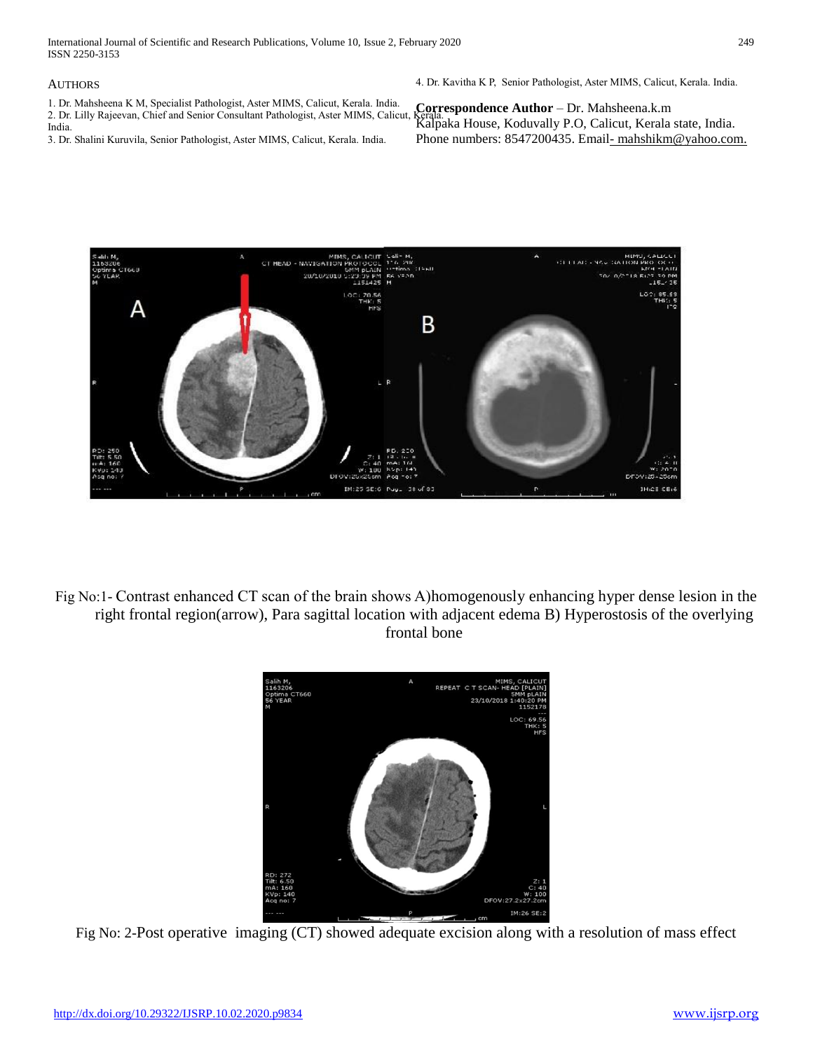International Journal of Scientific and Research Publications, Volume 10, Issue 2, February 2020 249 ISSN 2250-3153

### AUTHORS

1. Dr. Mahsheena K M, Specialist Pathologist, Aster MIMS, Calicut, Kerala. India. 2. Dr. Lilly Rajeevan, Chief and Senior Consultant Pathologist, Aster MIMS, Calicut, India. 3. Dr. Shalini Kuruvila, Senior Pathologist, Aster MIMS, Calicut, Kerala. India.

4. Dr. Kavitha K P, Senior Pathologist, Aster MIMS, Calicut, Kerala. India.

**Correspondence Author** – Dr. Mahsheena.k.m Kalpaka House, Koduvally P.O, Calicut, Kerala state, India. Phone numbers: 8547200435. Email-mahshikm@yahoo.com.



Fig No:1- Contrast enhanced CT scan of the brain shows A)homogenously enhancing hyper dense lesion in the right frontal region(arrow), Para sagittal location with adjacent edema B) Hyperostosis of the overlying frontal bone



Fig No: 2-Post operative imaging (CT) showed adequate excision along with a resolution of mass effect